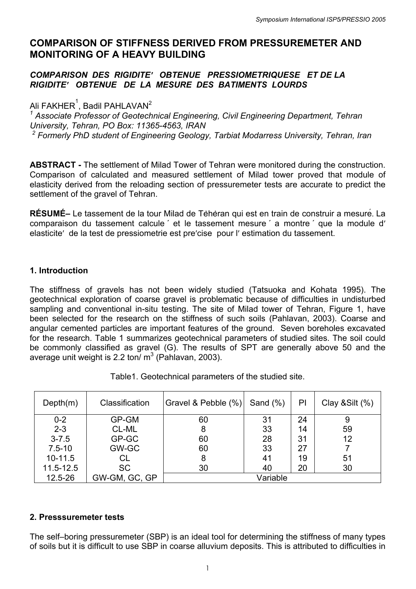# **COMPARISON OF STIFFNESS DERIVED FROM PRESSUREMETER AND MONITORING OF A HEAVY BUILDING**

### *COMPARISON DES RIGIDITE′ OBTENUE PRESSIOMETRIQUESE ET DE LA RIGIDITE′ OBTENUE DE LA MESURE DES BATIMENTS LOURDS*

Ali FAKHER $^{\rm 1}$ , Badil PAHLAVAN $^{\rm 2}$ 

<sup>1</sup> Associate Professor of Geotechnical Engineering, Civil Engineering Department, Tehran *University, Tehran, PO Box: 11365-4563, IRAN*  <sup>2</sup> Formerly PhD student of Engineering Geology, Tarbiat Modarress University, Tehran, Iran

**ABSTRACT -** The settlement of Milad Tower of Tehran were monitored during the construction. Comparison of calculated and measured settlement of Milad tower proved that module of elasticity derived from the reloading section of pressuremeter tests are accurate to predict the settlement of the gravel of Tehran.

**RÉSUMÉ–** Le tassement de la tour Milad de Teheran qui est en train de construir a mesure. La comparaison du tassement calcule ' et le tassement mesure ' a montre ' que la module d' elasticite′ de la test de pressiometrie est pre′cise pour l′ estimation du tassement.

## **1. Introduction**

The stiffness of gravels has not been widely studied (Tatsuoka and Kohata 1995). The geotechnical exploration of coarse gravel is problematic because of difficulties in undisturbed sampling and conventional in-situ testing. The site of Milad tower of Tehran, Figure 1, have been selected for the research on the stiffness of such soils (Pahlavan, 2003). Coarse and angular cemented particles are important features of the ground. Seven boreholes excavated for the research. Table 1 summarizes geotechnical parameters of studied sites. The soil could be commonly classified as gravel (G). The results of SPT are generally above 50 and the average unit weight is 2.2 ton/ $m^3$  (Pahlavan, 2003).

Table1. Geotechnical parameters of the studied site.

| Depth(m)   | Classification | Gravel & Pebble (%) | Sand $(\%)$ | PI | Clay & Silt $(\%)$ |
|------------|----------------|---------------------|-------------|----|--------------------|
| $0 - 2$    | GP-GM          | 60                  | 31          | 24 | 9                  |
| $2 - 3$    | CL-ML          | 8                   | 33          | 14 | 59                 |
| $3 - 7.5$  | GP-GC          | 60                  | 28          | 31 | 12                 |
| $7.5 - 10$ | GW-GC          | 60                  | 33          | 27 |                    |
| $10-11.5$  | CL             | 8                   | 41          | 19 | 51                 |
| 11.5-12.5  | <b>SC</b>      | 30                  | 40          | 20 | 30                 |
| 12.5-26    | GW-GM, GC, GP  | Variable            |             |    |                    |

### **2. Presssuremeter tests**

The self–boring pressuremeter (SBP) is an ideal tool for determining the stiffness of many types of soils but it is difficult to use SBP in coarse alluvium deposits. This is attributed to difficulties in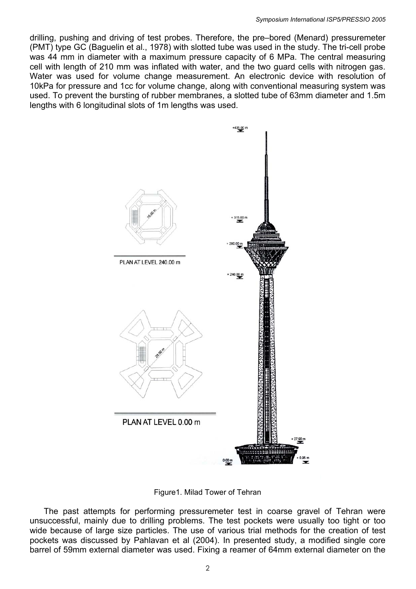drilling, pushing and driving of test probes. Therefore, the pre–bored (Menard) pressuremeter (PMT) type GC (Baguelin et al., 1978) with slotted tube was used in the study. The tri-cell probe was 44 mm in diameter with a maximum pressure capacity of 6 MPa. The central measuring cell with length of 210 mm was inflated with water, and the two guard cells with nitrogen gas. Water was used for volume change measurement. An electronic device with resolution of 10kPa for pressure and 1cc for volume change, along with conventional measuring system was used. To prevent the bursting of rubber membranes, a slotted tube of 63mm diameter and 1.5m lengths with 6 longitudinal slots of 1m lengths was used.



Figure1. Milad Tower of Tehran

 The past attempts for performing pressuremeter test in coarse gravel of Tehran were unsuccessful, mainly due to drilling problems. The test pockets were usually too tight or too wide because of large size particles. The use of various trial methods for the creation of test pockets was discussed by Pahlavan et al (2004). In presented study, a modified single core barrel of 59mm external diameter was used. Fixing a reamer of 64mm external diameter on the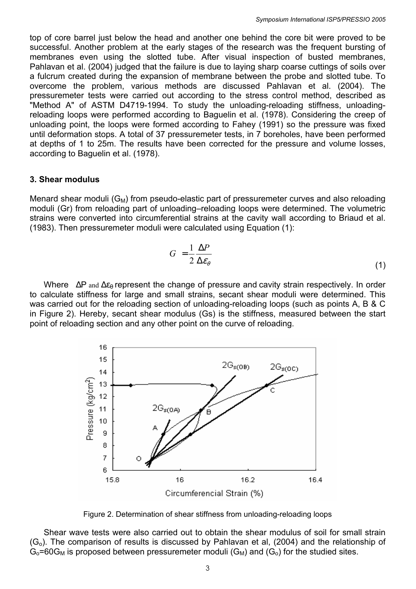top of core barrel just below the head and another one behind the core bit were proved to be successful. Another problem at the early stages of the research was the frequent bursting of membranes even using the slotted tube. After visual inspection of busted membranes, Pahlavan et al. (2004) judged that the failure is due to laying sharp coarse cuttings of soils over a fulcrum created during the expansion of membrane between the probe and slotted tube. To overcome the problem, various methods are discussed Pahlavan et al. (2004). The pressuremeter tests were carried out according to the stress control method, described as "Method A" of ASTM D4719-1994. To study the unloading-reloading stiffness, unloadingreloading loops were performed according to Baguelin et al. (1978). Considering the creep of unloading point, the loops were formed according to Fahey (1991) so the pressure was fixed until deformation stops. A total of 37 pressuremeter tests, in 7 boreholes, have been performed at depths of 1 to 25m. The results have been corrected for the pressure and volume losses, according to Baguelin et al. (1978).

#### **3. Shear modulus**

Menard shear moduli  $(G_M)$  from pseudo-elastic part of pressuremeter curves and also reloading moduli (Gr) from reloading part of unloading–reloading loops were determined. The volumetric strains were converted into circumferential strains at the cavity wall according to Briaud et al. (1983). Then pressuremeter moduli were calculated using Equation (1):

$$
G = \frac{1}{2} \frac{\Delta P}{\Delta \varepsilon_{\theta}}
$$
 (1)

Where  $\Delta P$  and  $\Delta \varepsilon_{\theta}$  represent the change of pressure and cavity strain respectively. In order to calculate stiffness for large and small strains, secant shear moduli were determined. This was carried out for the reloading section of unloading-reloading loops (such as points A, B & C in Figure 2). Hereby, secant shear modulus (Gs) is the stiffness, measured between the start point of reloading section and any other point on the curve of reloading.



Figure 2. Determination of shear stiffness from unloading-reloading loops

 Shear wave tests were also carried out to obtain the shear modulus of soil for small strain  $(G<sub>o</sub>)$ . The comparison of results is discussed by Pahlavan et al, (2004) and the relationship of  $G_0$ =60 $G_M$  is proposed between pressuremeter moduli ( $G_M$ ) and ( $G_O$ ) for the studied sites.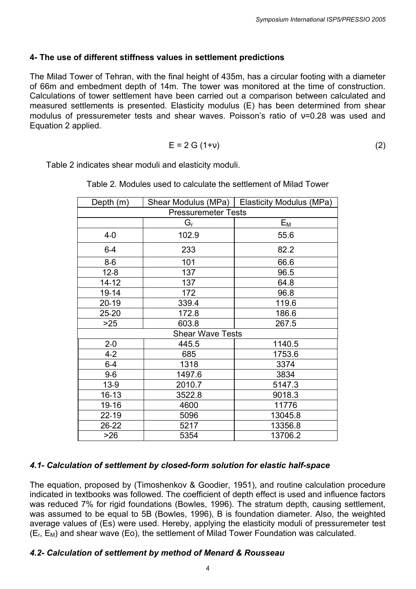#### **4- The use of different stiffness values in settlement predictions**

The Milad Tower of Tehran, with the final height of 435m, has a circular footing with a diameter of 66m and embedment depth of 14m. The tower was monitored at the time of construction. Calculations of tower settlement have been carried out a comparison between calculated and measured settlements is presented. Elasticity modulus (E) has been determined from shear modulus of pressuremeter tests and shear waves. Poisson's ratio of ν=0.28 was used and Equation 2 applied.

$$
E = 2 G (1+v) \tag{2}
$$

Table 2 indicates shear moduli and elasticity moduli.

| Depth $(m)$                | Shear Modulus (MPa)     | <b>Elasticity Modulus (MPa)</b> |  |  |
|----------------------------|-------------------------|---------------------------------|--|--|
| <b>Pressuremeter Tests</b> |                         |                                 |  |  |
|                            | Gr                      | $E_{M}$                         |  |  |
| $4-0$                      | 102.9                   | 55.6                            |  |  |
| $6-4$                      | 233                     | 82.2                            |  |  |
| $8-6$                      | 101                     | 66.6                            |  |  |
| $12 - 8$                   | 137                     | 96.5                            |  |  |
| 14-12                      | 137                     | 64.8                            |  |  |
| 19-14                      | 172                     | 96.8                            |  |  |
| 20-19                      | 339.4                   | 119.6                           |  |  |
| 25-20                      | 172.8                   | 186.6                           |  |  |
| $>25$<br>603.8             |                         | 267.5                           |  |  |
|                            | <b>Shear Wave Tests</b> |                                 |  |  |
| $2 - 0$<br>445.5           |                         | 1140.5                          |  |  |
| $4 - 2$                    | 685                     | 1753.6                          |  |  |
| $6-4$                      | 1318                    | 3374                            |  |  |
| $9-6$                      | 1497.6                  | 3834                            |  |  |
| $13-9$                     | 2010.7                  | 5147.3                          |  |  |
| 16-13                      | 3522.8                  | 9018.3                          |  |  |
| 19-16                      | 4600                    | 11776                           |  |  |
| 22-19                      | 5096                    | 13045.8                         |  |  |
| 26-22                      | 5217                    | 13356.8                         |  |  |
| $>26$                      | 5354                    | 13706.2                         |  |  |

| Table 2. Modules used to calculate the settlement of Milad Tower |  |
|------------------------------------------------------------------|--|
|------------------------------------------------------------------|--|

#### *4.1- Calculation of settlement by closed-form solution for elastic half-space*

The equation, proposed by (Timoshenkov & Goodier, 1951), and routine calculation procedure indicated in textbooks was followed. The coefficient of depth effect is used and influence factors was reduced 7% for rigid foundations (Bowles, 1996). The stratum depth, causing settlement, was assumed to be equal to 5B (Bowles, 1996), B is foundation diameter. Also, the weighted average values of (Es) were used. Hereby, applying the elasticity moduli of pressuremeter test  $(E_r, E_M)$  and shear wave (Eo), the settlement of Milad Tower Foundation was calculated.

#### *4.2- Calculation of settlement by method of Menard & Rousseau*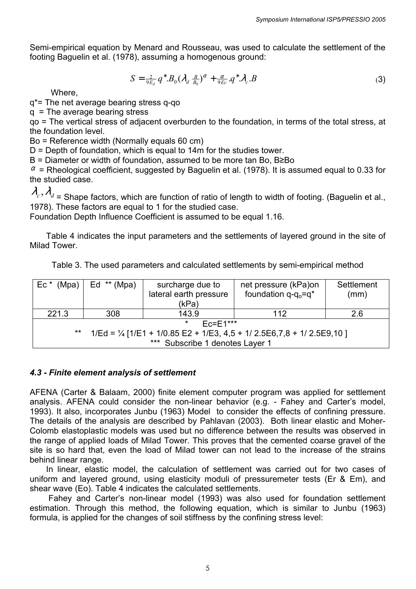Semi-empirical equation by Menard and Rousseau, was used to calculate the settlement of the footing Baguelin et al. (1978), assuming a homogenous ground:

$$
S = \frac{2}{9E_d} q^* B_0 (\lambda_d \frac{B}{B_0})^\alpha + \frac{\alpha}{9Ec} q^* \lambda_c B \tag{3}
$$

Where,

q\*= The net average bearing stress q-qo

q = The average bearing stress

qo = The vertical stress of adjacent overburden to the foundation, in terms of the total stress, at the foundation level.

Bo = Reference width (Normally equals 60 cm)

 $D =$  Depth of foundation, which is equal to 14m for the studies tower.

B = Diameter or width of foundation, assumed to be more tan Bo, B≥Bo

 $\alpha$  = Rheological coefficient, suggested by Baguelin et al. (1978). It is assumed equal to 0.33 for the studied case.

$$
\lambda_{\alpha}, \lambda_{\alpha}
$$

<sup>λ</sup>*<sup>c</sup>* <sup>λ</sup>*<sup>d</sup>* , = Shape factors, which are function of ratio of length to width of footing. (Baguelin et al., 1978). These factors are equal to 1 for the studied case.

Foundation Depth Influence Coefficient is assumed to be equal 1.16.

 Table 4 indicates the input parameters and the settlements of layered ground in the site of Milad Tower.

Table 3. The used parameters and calculated settlements by semi-empirical method

| (Mpa)<br>Ec *                                                                                     | (Mpa)<br>$Ed$ $**$ | surcharge due to       | net pressure (kPa)on       | Settlement |
|---------------------------------------------------------------------------------------------------|--------------------|------------------------|----------------------------|------------|
|                                                                                                   |                    | lateral earth pressure | foundation $q - q_0 = q^*$ | (mm)       |
|                                                                                                   |                    | (kPa)                  |                            |            |
| 221.3                                                                                             | 308                | 143.9                  | 112                        | 2.6        |
| $\star$<br>$Fc = F1***$                                                                           |                    |                        |                            |            |
| $\star\star$<br>$1/Ed = \frac{1}{4}$ [1/E1 + 1/0.85 E2 + 1/E3, 4,5 + 1/ 2.5E6,7,8 + 1/ 2.5E9,10 ] |                    |                        |                            |            |
| *** Subscribe 1 denotes Layer 1                                                                   |                    |                        |                            |            |

### *4.3 - Finite element analysis of settlement*

AFENA (Carter & Balaam, 2000) finite element computer program was applied for settlement analysis. AFENA could consider the non-linear behavior (e.g. - Fahey and Carter's model, 1993). It also, incorporates Junbu (1963) Model to consider the effects of confining pressure. The details of the analysis are described by Pahlavan (2003). Both linear elastic and Moher-Colomb elastoplastic models was used but no difference between the results was observed in the range of applied loads of Milad Tower. This proves that the cemented coarse gravel of the site is so hard that, even the load of Milad tower can not lead to the increase of the strains behind linear range.

 In linear, elastic model, the calculation of settlement was carried out for two cases of uniform and layered ground, using elasticity moduli of pressuremeter tests (Er & Em), and shear wave (Eo). Table 4 indicates the calculated settlements.

 Fahey and Carter's non-linear model (1993) was also used for foundation settlement estimation. Through this method, the following equation, which is similar to Junbu (1963) formula, is applied for the changes of soil stiffness by the confining stress level: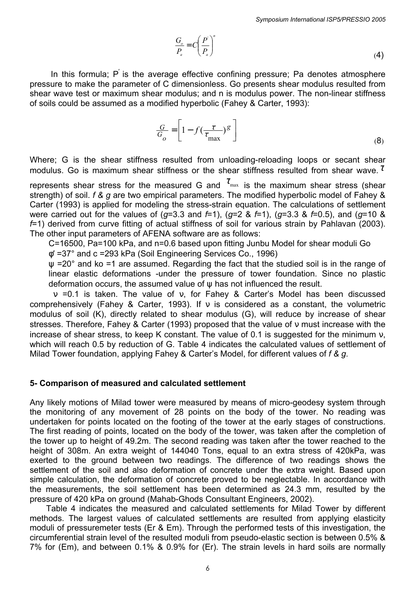$$
\frac{G_o}{P_a} = C \left(\frac{P}{P_a}\right)^n\tag{4}
$$

In this formula;  $P'$  is the average effective confining pressure; Pa denotes atmosphere pressure to make the parameter of C dimensionless. Go presents shear modulus resulted from shear wave test or maximum shear modulus; and n is modulus power. The non-linear stiffness of soils could be assumed as a modified hyperbolic (Fahey & Carter, 1993):

$$
\frac{G}{G_o} = \left[1 - f\left(\frac{\tau}{\tau_{\text{max}}}\right)^g\right]
$$
\n(8)

Where; G is the shear stiffness resulted from unloading-reloading loops or secant shear modulus. Go is maximum shear stiffness or the shear stiffness resulted from shear wave.  $\tau$ 

represents shear stress for the measured G and  $\tau_{\text{max}}$  is the maximum shear stress (shear strength) of soil. *f & g* are two empirical parameters. The modified hyperbolic model of Fahey & Carter (1993) is applied for modeling the stress-strain equation. The calculations of settlement were carried out for the values of (*g*=3.3 and *f*=1), (*g*=2 & *f*=1), (*g*=3.3 & *f*=0.5), and (*g*=10 & *f*=1) derived from curve fitting of actual stiffness of soil for various strain by Pahlavan (2003). The other input parameters of AFENA software are as follows:

C=16500, Pa=100 kPa, and n=0.6 based upon fitting Junbu Model for shear moduli Go

φ′ =37° and c =293 kPa (Soil Engineering Services Co., 1996)

 $\psi$  =20° and ko =1 are assumed. Regarding the fact that the studied soil is in the range of linear elastic deformations -under the pressure of tower foundation. Since no plastic deformation occurs, the assumed value of  $\Psi$  has not influenced the result.

 ν =0.1 is taken. The value of ν, for Fahey & Carter's Model has been discussed comprehensively (Fahey & Carter, 1993). If ν is considered as a constant, the volumetric modulus of soil (K), directly related to shear modulus (G), will reduce by increase of shear stresses. Therefore, Fahey & Carter (1993) proposed that the value of ν must increase with the increase of shear stress, to keep K constant. The value of 0.1 is suggested for the minimum ν, which will reach 0.5 by reduction of G. Table 4 indicates the calculated values of settlement of Milad Tower foundation, applying Fahey & Carter's Model, for different values of *f & g*.

#### **5- Comparison of measured and calculated settlement**

Any likely motions of Milad tower were measured by means of micro-geodesy system through the monitoring of any movement of 28 points on the body of the tower. No reading was undertaken for points located on the footing of the tower at the early stages of constructions. The first reading of points, located on the body of the tower, was taken after the completion of the tower up to height of 49.2m. The second reading was taken after the tower reached to the height of 308m. An extra weight of 144040 Tons, equal to an extra stress of 420kPa, was exerted to the ground between two readings. The difference of two readings shows the settlement of the soil and also deformation of concrete under the extra weight. Based upon simple calculation, the deformation of concrete proved to be neglectable. In accordance with the measurements, the soil settlement has been determined as 24.3 mm, resulted by the pressure of 420 kPa on ground (Mahab-Ghods Consultant Engineers, 2002).

 Table 4 indicates the measured and calculated settlements for Milad Tower by different methods. The largest values of calculated settlements are resulted from applying elasticity moduli of pressuremeter tests (Er & Em). Through the performed tests of this investigation, the circumferential strain level of the resulted moduli from pseudo-elastic section is between 0.5% & 7% for (Em), and between 0.1% & 0.9% for (Er). The strain levels in hard soils are normally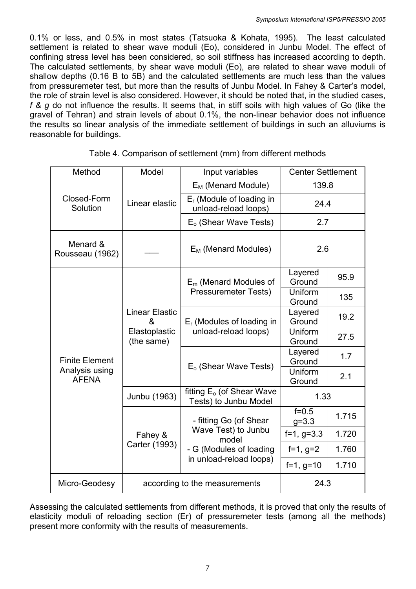0.1% or less, and 0.5% in most states (Tatsuoka & Kohata, 1995). The least calculated settlement is related to shear wave moduli (Eo), considered in Junbu Model. The effect of confining stress level has been considered, so soil stiffness has increased according to depth. The calculated settlements, by shear wave moduli (Eo), are related to shear wave moduli of shallow depths (0.16 B to 5B) and the calculated settlements are much less than the values from pressuremeter test, but more than the results of Junbu Model. In Fahey & Carter's model, the role of strain level is also considered. However, it should be noted that, in the studied cases, *f & g* do not influence the results. It seems that, in stiff soils with high values of Go (like the gravel of Tehran) and strain levels of about 0.1%, the non-linear behavior does not influence the results so linear analysis of the immediate settlement of buildings in such an alluviums is reasonable for buildings.

| Method                         | Model                                                     | Input variables                                                                   | <b>Center Settlement</b> |       |
|--------------------------------|-----------------------------------------------------------|-----------------------------------------------------------------------------------|--------------------------|-------|
|                                |                                                           | $E_M$ (Menard Module)                                                             | 139.8                    |       |
| Closed-Form<br>Solution        | Linear elastic                                            | $E_r$ (Module of loading in<br>unload-reload loops)                               | 24.4                     |       |
|                                |                                                           | $Eo$ (Shear Wave Tests)                                                           | 2.7                      |       |
| Menard &<br>Rousseau (1962)    |                                                           | $E_M$ (Menard Modules)                                                            | 2.6                      |       |
|                                |                                                           | $E_m$ (Menard Modules of                                                          | Layered<br>Ground        | 95.9  |
|                                | <b>Linear Elastic</b><br>&<br>Elastoplastic<br>(the same) | <b>Pressuremeter Tests)</b>                                                       | Uniform<br>Ground        | 135   |
|                                |                                                           | $E_r$ (Modules of loading in                                                      | Layered<br>Ground        | 19.2  |
|                                |                                                           | unload-reload loops)                                                              | Uniform<br>Ground        | 27.5  |
| <b>Finite Element</b>          |                                                           |                                                                                   | Layered<br>Ground        | 1.7   |
| Analysis using<br><b>AFENA</b> |                                                           | $Eo$ (Shear Wave Tests)                                                           | Uniform<br>Ground        | 2.1   |
|                                | Junbu (1963)                                              | fitting $E_0$ (of Shear Wave<br>Tests) to Junbu Model                             | 1.33                     |       |
|                                | Fahey &<br>Carter (1993)                                  | - fitting Go (of Shear<br>Wave Test) to Junbu<br>model<br>- G (Modules of loading | $f = 0.5$<br>$g = 3.3$   | 1.715 |
|                                |                                                           |                                                                                   | $f=1, g=3.3$             | 1.720 |
|                                |                                                           |                                                                                   | $f=1, g=2$               | 1.760 |
|                                |                                                           | in unload-reload loops)                                                           | $f=1, g=10$              | 1.710 |
| Micro-Geodesy                  | according to the measurements                             |                                                                                   | 24.3                     |       |

| Table 4. Comparison of settlement (mm) from different methods |  |
|---------------------------------------------------------------|--|
|---------------------------------------------------------------|--|

Assessing the calculated settlements from different methods, it is proved that only the results of elasticity moduli of reloading section (Er) of pressuremeter tests (among all the methods) present more conformity with the results of measurements.